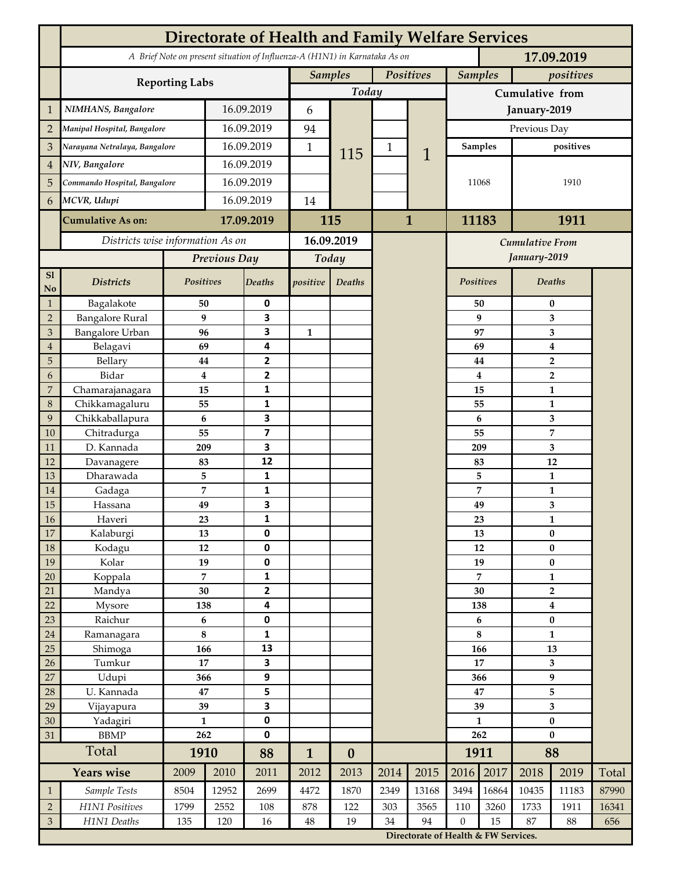| A Brief Note on present situation of Influenza-A (H1N1) in Karnataka As on<br>17.09.2019<br>Positives<br><b>Samples</b><br><b>Samples</b><br>positives<br><b>Reporting Labs</b><br>Today<br>Cumulative from<br>NIMHANS, Bangalore<br>16.09.2019<br>6<br>$\mathbf{1}$<br>January-2019<br>16.09.2019<br>$\overline{2}$<br>Manipal Hospital, Bangalore<br>94<br>Previous Day<br>16.09.2019<br>3<br>Narayana Netralaya, Bangalore<br>$\mathbf{1}$<br><b>Samples</b><br>positives<br>$\mathbf 1$<br>115<br>1<br>16.09.2019<br>NIV, Bangalore<br>$\overline{4}$<br>16.09.2019<br>5<br>Commando Hospital, Bangalore<br>1910<br>11068<br>16.09.2019<br>MCVR, Udupi<br>14<br>6<br>115<br>$\mathbf{1}$<br>11183<br>1911<br><b>Cumulative As on:</b><br>17.09.2019<br>Districts wise information As on<br>16.09.2019<br><b>Cumulative From</b><br>January-2019<br>Previous Day<br>Today<br>S1<br>Positives<br><b>Deaths</b><br><b>Positives</b><br><b>Districts</b><br>Deaths<br>positive<br>Deaths<br>No<br>$\mathbf{1}$<br>Bagalakote<br>50<br>0<br>$\bf{0}$<br>50<br><b>Bangalore Rural</b><br>9<br>3<br>9<br>$\overline{2}$<br>3<br><b>Bangalore Urban</b><br>3<br>3<br>96<br>$\mathbf{1}$<br>97<br>3<br>4<br>Belagavi<br>69<br>69<br>$\boldsymbol{4}$<br>$\overline{4}$<br>Bellary<br>$\mathbf{2}$<br>5<br>$\overline{\mathbf{2}}$<br>44<br>44<br>2<br>6<br>Bidar<br>$\bf{4}$<br>4<br>$\overline{2}$<br>$\overline{7}$<br>Chamarajanagara<br>15<br>1<br>15<br>$\mathbf{1}$<br>Chikkamagaluru<br>8<br>55<br>1<br>55<br>1<br>3<br>6<br>9<br>Chikkaballapura<br>6<br>3<br>$\overline{7}$<br>$\overline{\mathbf{z}}$<br>55<br>55<br>10<br>Chitradurga<br>3<br>D. Kannada<br>3<br>11<br>209<br>209<br>12<br>12<br>83<br>83<br>12<br>Davanagere<br>5<br>1<br>13<br>Dharawada<br>5<br>1<br>7<br>1<br>7<br>$\mathbf{1}$<br>14<br>Gadaga<br>3<br>15<br>49<br>49<br>3<br>Hassana<br>16<br>Haveri<br>23<br>1<br>23<br>1<br>17<br>0<br>$\pmb{0}$<br>Kalaburgi<br>13<br>13<br>18<br>0<br>$12\,$<br>12<br>$\pmb{0}$<br>Kodagu<br>19<br>0<br>$\bf{0}$<br>19<br>Kolar<br>19<br>$\overline{7}$<br>1<br>7<br>20<br>Koppala<br>$\mathbf{1}$<br>$\overline{\mathbf{2}}$<br>30<br>Mandya<br>30<br>$\overline{2}$<br>21<br>22<br>4<br>Mysore<br>138<br>138<br>$\boldsymbol{4}$<br>Raichur<br>23<br>$\bf 6$<br>0<br>$\pmb{0}$<br>6<br>$\bf 8$<br>8<br>1<br>24<br>Ramanagara<br>$\mathbf{1}$<br>25<br>Shimoga<br>13<br>166<br>166<br>13<br>3<br>Tumkur<br>17<br>17<br>26<br>3<br>$\boldsymbol{9}$<br>27<br>9<br>Udupi<br>366<br>366<br>5<br>28<br>U. Kannada<br>5<br>47<br>47<br>3<br>29<br>Vijayapura<br>39<br>39<br>3<br>0<br>30<br>Yadagiri<br>$\mathbf{1}$<br>$\mathbf{1}$<br>$\pmb{0}$<br>0<br>262<br><b>BBMP</b><br>262<br>$\bf{0}$<br>31<br>Total<br>1911<br>88<br>1910<br>88<br>$\mathbf{1}$<br>$\boldsymbol{0}$<br><b>Years wise</b><br>2017<br>2014<br>2015<br>2016<br>2009<br>2010<br>2011<br>2013<br>2018<br>2019<br>2012<br>3494<br>Sample Tests<br>8504<br>12952<br>2699<br>1870<br>2349<br>13168<br>16864<br>10435<br>4472<br>11183<br>$\mathbf{1}$<br>H1N1 Positives<br>$\sqrt{2}$<br>1799<br>2552<br>122<br>3565<br>110<br>3260<br>1733<br>1911<br>108<br>878<br>303 | <b>Directorate of Health and Family Welfare Services</b> |  |  |  |  |  |  |  |     |  |  |  |       |  |
|---------------------------------------------------------------------------------------------------------------------------------------------------------------------------------------------------------------------------------------------------------------------------------------------------------------------------------------------------------------------------------------------------------------------------------------------------------------------------------------------------------------------------------------------------------------------------------------------------------------------------------------------------------------------------------------------------------------------------------------------------------------------------------------------------------------------------------------------------------------------------------------------------------------------------------------------------------------------------------------------------------------------------------------------------------------------------------------------------------------------------------------------------------------------------------------------------------------------------------------------------------------------------------------------------------------------------------------------------------------------------------------------------------------------------------------------------------------------------------------------------------------------------------------------------------------------------------------------------------------------------------------------------------------------------------------------------------------------------------------------------------------------------------------------------------------------------------------------------------------------------------------------------------------------------------------------------------------------------------------------------------------------------------------------------------------------------------------------------------------------------------------------------------------------------------------------------------------------------------------------------------------------------------------------------------------------------------------------------------------------------------------------------------------------------------------------------------------------------------------------------------------------------------------------------------------------------------------------------------------------------------------------------------------------------------------------------------------------------------------------------------------------------------------------------------------------------------------------------------------------------------------------------------------------------------------------------------------------------------------------------------------------------------------------------------------------------------------------------------------------------------------------------------|----------------------------------------------------------|--|--|--|--|--|--|--|-----|--|--|--|-------|--|
|                                                                                                                                                                                                                                                                                                                                                                                                                                                                                                                                                                                                                                                                                                                                                                                                                                                                                                                                                                                                                                                                                                                                                                                                                                                                                                                                                                                                                                                                                                                                                                                                                                                                                                                                                                                                                                                                                                                                                                                                                                                                                                                                                                                                                                                                                                                                                                                                                                                                                                                                                                                                                                                                                                                                                                                                                                                                                                                                                                                                                                                                                                                                                         |                                                          |  |  |  |  |  |  |  |     |  |  |  |       |  |
|                                                                                                                                                                                                                                                                                                                                                                                                                                                                                                                                                                                                                                                                                                                                                                                                                                                                                                                                                                                                                                                                                                                                                                                                                                                                                                                                                                                                                                                                                                                                                                                                                                                                                                                                                                                                                                                                                                                                                                                                                                                                                                                                                                                                                                                                                                                                                                                                                                                                                                                                                                                                                                                                                                                                                                                                                                                                                                                                                                                                                                                                                                                                                         |                                                          |  |  |  |  |  |  |  |     |  |  |  |       |  |
|                                                                                                                                                                                                                                                                                                                                                                                                                                                                                                                                                                                                                                                                                                                                                                                                                                                                                                                                                                                                                                                                                                                                                                                                                                                                                                                                                                                                                                                                                                                                                                                                                                                                                                                                                                                                                                                                                                                                                                                                                                                                                                                                                                                                                                                                                                                                                                                                                                                                                                                                                                                                                                                                                                                                                                                                                                                                                                                                                                                                                                                                                                                                                         |                                                          |  |  |  |  |  |  |  |     |  |  |  |       |  |
|                                                                                                                                                                                                                                                                                                                                                                                                                                                                                                                                                                                                                                                                                                                                                                                                                                                                                                                                                                                                                                                                                                                                                                                                                                                                                                                                                                                                                                                                                                                                                                                                                                                                                                                                                                                                                                                                                                                                                                                                                                                                                                                                                                                                                                                                                                                                                                                                                                                                                                                                                                                                                                                                                                                                                                                                                                                                                                                                                                                                                                                                                                                                                         |                                                          |  |  |  |  |  |  |  |     |  |  |  |       |  |
|                                                                                                                                                                                                                                                                                                                                                                                                                                                                                                                                                                                                                                                                                                                                                                                                                                                                                                                                                                                                                                                                                                                                                                                                                                                                                                                                                                                                                                                                                                                                                                                                                                                                                                                                                                                                                                                                                                                                                                                                                                                                                                                                                                                                                                                                                                                                                                                                                                                                                                                                                                                                                                                                                                                                                                                                                                                                                                                                                                                                                                                                                                                                                         |                                                          |  |  |  |  |  |  |  |     |  |  |  |       |  |
|                                                                                                                                                                                                                                                                                                                                                                                                                                                                                                                                                                                                                                                                                                                                                                                                                                                                                                                                                                                                                                                                                                                                                                                                                                                                                                                                                                                                                                                                                                                                                                                                                                                                                                                                                                                                                                                                                                                                                                                                                                                                                                                                                                                                                                                                                                                                                                                                                                                                                                                                                                                                                                                                                                                                                                                                                                                                                                                                                                                                                                                                                                                                                         |                                                          |  |  |  |  |  |  |  |     |  |  |  |       |  |
|                                                                                                                                                                                                                                                                                                                                                                                                                                                                                                                                                                                                                                                                                                                                                                                                                                                                                                                                                                                                                                                                                                                                                                                                                                                                                                                                                                                                                                                                                                                                                                                                                                                                                                                                                                                                                                                                                                                                                                                                                                                                                                                                                                                                                                                                                                                                                                                                                                                                                                                                                                                                                                                                                                                                                                                                                                                                                                                                                                                                                                                                                                                                                         |                                                          |  |  |  |  |  |  |  |     |  |  |  |       |  |
|                                                                                                                                                                                                                                                                                                                                                                                                                                                                                                                                                                                                                                                                                                                                                                                                                                                                                                                                                                                                                                                                                                                                                                                                                                                                                                                                                                                                                                                                                                                                                                                                                                                                                                                                                                                                                                                                                                                                                                                                                                                                                                                                                                                                                                                                                                                                                                                                                                                                                                                                                                                                                                                                                                                                                                                                                                                                                                                                                                                                                                                                                                                                                         |                                                          |  |  |  |  |  |  |  |     |  |  |  |       |  |
|                                                                                                                                                                                                                                                                                                                                                                                                                                                                                                                                                                                                                                                                                                                                                                                                                                                                                                                                                                                                                                                                                                                                                                                                                                                                                                                                                                                                                                                                                                                                                                                                                                                                                                                                                                                                                                                                                                                                                                                                                                                                                                                                                                                                                                                                                                                                                                                                                                                                                                                                                                                                                                                                                                                                                                                                                                                                                                                                                                                                                                                                                                                                                         |                                                          |  |  |  |  |  |  |  |     |  |  |  |       |  |
|                                                                                                                                                                                                                                                                                                                                                                                                                                                                                                                                                                                                                                                                                                                                                                                                                                                                                                                                                                                                                                                                                                                                                                                                                                                                                                                                                                                                                                                                                                                                                                                                                                                                                                                                                                                                                                                                                                                                                                                                                                                                                                                                                                                                                                                                                                                                                                                                                                                                                                                                                                                                                                                                                                                                                                                                                                                                                                                                                                                                                                                                                                                                                         |                                                          |  |  |  |  |  |  |  |     |  |  |  |       |  |
|                                                                                                                                                                                                                                                                                                                                                                                                                                                                                                                                                                                                                                                                                                                                                                                                                                                                                                                                                                                                                                                                                                                                                                                                                                                                                                                                                                                                                                                                                                                                                                                                                                                                                                                                                                                                                                                                                                                                                                                                                                                                                                                                                                                                                                                                                                                                                                                                                                                                                                                                                                                                                                                                                                                                                                                                                                                                                                                                                                                                                                                                                                                                                         |                                                          |  |  |  |  |  |  |  |     |  |  |  |       |  |
|                                                                                                                                                                                                                                                                                                                                                                                                                                                                                                                                                                                                                                                                                                                                                                                                                                                                                                                                                                                                                                                                                                                                                                                                                                                                                                                                                                                                                                                                                                                                                                                                                                                                                                                                                                                                                                                                                                                                                                                                                                                                                                                                                                                                                                                                                                                                                                                                                                                                                                                                                                                                                                                                                                                                                                                                                                                                                                                                                                                                                                                                                                                                                         |                                                          |  |  |  |  |  |  |  |     |  |  |  |       |  |
|                                                                                                                                                                                                                                                                                                                                                                                                                                                                                                                                                                                                                                                                                                                                                                                                                                                                                                                                                                                                                                                                                                                                                                                                                                                                                                                                                                                                                                                                                                                                                                                                                                                                                                                                                                                                                                                                                                                                                                                                                                                                                                                                                                                                                                                                                                                                                                                                                                                                                                                                                                                                                                                                                                                                                                                                                                                                                                                                                                                                                                                                                                                                                         |                                                          |  |  |  |  |  |  |  |     |  |  |  |       |  |
|                                                                                                                                                                                                                                                                                                                                                                                                                                                                                                                                                                                                                                                                                                                                                                                                                                                                                                                                                                                                                                                                                                                                                                                                                                                                                                                                                                                                                                                                                                                                                                                                                                                                                                                                                                                                                                                                                                                                                                                                                                                                                                                                                                                                                                                                                                                                                                                                                                                                                                                                                                                                                                                                                                                                                                                                                                                                                                                                                                                                                                                                                                                                                         |                                                          |  |  |  |  |  |  |  |     |  |  |  |       |  |
|                                                                                                                                                                                                                                                                                                                                                                                                                                                                                                                                                                                                                                                                                                                                                                                                                                                                                                                                                                                                                                                                                                                                                                                                                                                                                                                                                                                                                                                                                                                                                                                                                                                                                                                                                                                                                                                                                                                                                                                                                                                                                                                                                                                                                                                                                                                                                                                                                                                                                                                                                                                                                                                                                                                                                                                                                                                                                                                                                                                                                                                                                                                                                         |                                                          |  |  |  |  |  |  |  |     |  |  |  |       |  |
|                                                                                                                                                                                                                                                                                                                                                                                                                                                                                                                                                                                                                                                                                                                                                                                                                                                                                                                                                                                                                                                                                                                                                                                                                                                                                                                                                                                                                                                                                                                                                                                                                                                                                                                                                                                                                                                                                                                                                                                                                                                                                                                                                                                                                                                                                                                                                                                                                                                                                                                                                                                                                                                                                                                                                                                                                                                                                                                                                                                                                                                                                                                                                         |                                                          |  |  |  |  |  |  |  |     |  |  |  |       |  |
|                                                                                                                                                                                                                                                                                                                                                                                                                                                                                                                                                                                                                                                                                                                                                                                                                                                                                                                                                                                                                                                                                                                                                                                                                                                                                                                                                                                                                                                                                                                                                                                                                                                                                                                                                                                                                                                                                                                                                                                                                                                                                                                                                                                                                                                                                                                                                                                                                                                                                                                                                                                                                                                                                                                                                                                                                                                                                                                                                                                                                                                                                                                                                         |                                                          |  |  |  |  |  |  |  |     |  |  |  |       |  |
|                                                                                                                                                                                                                                                                                                                                                                                                                                                                                                                                                                                                                                                                                                                                                                                                                                                                                                                                                                                                                                                                                                                                                                                                                                                                                                                                                                                                                                                                                                                                                                                                                                                                                                                                                                                                                                                                                                                                                                                                                                                                                                                                                                                                                                                                                                                                                                                                                                                                                                                                                                                                                                                                                                                                                                                                                                                                                                                                                                                                                                                                                                                                                         |                                                          |  |  |  |  |  |  |  |     |  |  |  |       |  |
|                                                                                                                                                                                                                                                                                                                                                                                                                                                                                                                                                                                                                                                                                                                                                                                                                                                                                                                                                                                                                                                                                                                                                                                                                                                                                                                                                                                                                                                                                                                                                                                                                                                                                                                                                                                                                                                                                                                                                                                                                                                                                                                                                                                                                                                                                                                                                                                                                                                                                                                                                                                                                                                                                                                                                                                                                                                                                                                                                                                                                                                                                                                                                         |                                                          |  |  |  |  |  |  |  |     |  |  |  |       |  |
|                                                                                                                                                                                                                                                                                                                                                                                                                                                                                                                                                                                                                                                                                                                                                                                                                                                                                                                                                                                                                                                                                                                                                                                                                                                                                                                                                                                                                                                                                                                                                                                                                                                                                                                                                                                                                                                                                                                                                                                                                                                                                                                                                                                                                                                                                                                                                                                                                                                                                                                                                                                                                                                                                                                                                                                                                                                                                                                                                                                                                                                                                                                                                         |                                                          |  |  |  |  |  |  |  |     |  |  |  |       |  |
|                                                                                                                                                                                                                                                                                                                                                                                                                                                                                                                                                                                                                                                                                                                                                                                                                                                                                                                                                                                                                                                                                                                                                                                                                                                                                                                                                                                                                                                                                                                                                                                                                                                                                                                                                                                                                                                                                                                                                                                                                                                                                                                                                                                                                                                                                                                                                                                                                                                                                                                                                                                                                                                                                                                                                                                                                                                                                                                                                                                                                                                                                                                                                         |                                                          |  |  |  |  |  |  |  |     |  |  |  |       |  |
|                                                                                                                                                                                                                                                                                                                                                                                                                                                                                                                                                                                                                                                                                                                                                                                                                                                                                                                                                                                                                                                                                                                                                                                                                                                                                                                                                                                                                                                                                                                                                                                                                                                                                                                                                                                                                                                                                                                                                                                                                                                                                                                                                                                                                                                                                                                                                                                                                                                                                                                                                                                                                                                                                                                                                                                                                                                                                                                                                                                                                                                                                                                                                         |                                                          |  |  |  |  |  |  |  |     |  |  |  |       |  |
|                                                                                                                                                                                                                                                                                                                                                                                                                                                                                                                                                                                                                                                                                                                                                                                                                                                                                                                                                                                                                                                                                                                                                                                                                                                                                                                                                                                                                                                                                                                                                                                                                                                                                                                                                                                                                                                                                                                                                                                                                                                                                                                                                                                                                                                                                                                                                                                                                                                                                                                                                                                                                                                                                                                                                                                                                                                                                                                                                                                                                                                                                                                                                         |                                                          |  |  |  |  |  |  |  |     |  |  |  |       |  |
|                                                                                                                                                                                                                                                                                                                                                                                                                                                                                                                                                                                                                                                                                                                                                                                                                                                                                                                                                                                                                                                                                                                                                                                                                                                                                                                                                                                                                                                                                                                                                                                                                                                                                                                                                                                                                                                                                                                                                                                                                                                                                                                                                                                                                                                                                                                                                                                                                                                                                                                                                                                                                                                                                                                                                                                                                                                                                                                                                                                                                                                                                                                                                         |                                                          |  |  |  |  |  |  |  |     |  |  |  |       |  |
|                                                                                                                                                                                                                                                                                                                                                                                                                                                                                                                                                                                                                                                                                                                                                                                                                                                                                                                                                                                                                                                                                                                                                                                                                                                                                                                                                                                                                                                                                                                                                                                                                                                                                                                                                                                                                                                                                                                                                                                                                                                                                                                                                                                                                                                                                                                                                                                                                                                                                                                                                                                                                                                                                                                                                                                                                                                                                                                                                                                                                                                                                                                                                         |                                                          |  |  |  |  |  |  |  |     |  |  |  |       |  |
|                                                                                                                                                                                                                                                                                                                                                                                                                                                                                                                                                                                                                                                                                                                                                                                                                                                                                                                                                                                                                                                                                                                                                                                                                                                                                                                                                                                                                                                                                                                                                                                                                                                                                                                                                                                                                                                                                                                                                                                                                                                                                                                                                                                                                                                                                                                                                                                                                                                                                                                                                                                                                                                                                                                                                                                                                                                                                                                                                                                                                                                                                                                                                         |                                                          |  |  |  |  |  |  |  |     |  |  |  |       |  |
|                                                                                                                                                                                                                                                                                                                                                                                                                                                                                                                                                                                                                                                                                                                                                                                                                                                                                                                                                                                                                                                                                                                                                                                                                                                                                                                                                                                                                                                                                                                                                                                                                                                                                                                                                                                                                                                                                                                                                                                                                                                                                                                                                                                                                                                                                                                                                                                                                                                                                                                                                                                                                                                                                                                                                                                                                                                                                                                                                                                                                                                                                                                                                         |                                                          |  |  |  |  |  |  |  |     |  |  |  |       |  |
|                                                                                                                                                                                                                                                                                                                                                                                                                                                                                                                                                                                                                                                                                                                                                                                                                                                                                                                                                                                                                                                                                                                                                                                                                                                                                                                                                                                                                                                                                                                                                                                                                                                                                                                                                                                                                                                                                                                                                                                                                                                                                                                                                                                                                                                                                                                                                                                                                                                                                                                                                                                                                                                                                                                                                                                                                                                                                                                                                                                                                                                                                                                                                         |                                                          |  |  |  |  |  |  |  |     |  |  |  |       |  |
|                                                                                                                                                                                                                                                                                                                                                                                                                                                                                                                                                                                                                                                                                                                                                                                                                                                                                                                                                                                                                                                                                                                                                                                                                                                                                                                                                                                                                                                                                                                                                                                                                                                                                                                                                                                                                                                                                                                                                                                                                                                                                                                                                                                                                                                                                                                                                                                                                                                                                                                                                                                                                                                                                                                                                                                                                                                                                                                                                                                                                                                                                                                                                         |                                                          |  |  |  |  |  |  |  |     |  |  |  |       |  |
|                                                                                                                                                                                                                                                                                                                                                                                                                                                                                                                                                                                                                                                                                                                                                                                                                                                                                                                                                                                                                                                                                                                                                                                                                                                                                                                                                                                                                                                                                                                                                                                                                                                                                                                                                                                                                                                                                                                                                                                                                                                                                                                                                                                                                                                                                                                                                                                                                                                                                                                                                                                                                                                                                                                                                                                                                                                                                                                                                                                                                                                                                                                                                         |                                                          |  |  |  |  |  |  |  |     |  |  |  |       |  |
|                                                                                                                                                                                                                                                                                                                                                                                                                                                                                                                                                                                                                                                                                                                                                                                                                                                                                                                                                                                                                                                                                                                                                                                                                                                                                                                                                                                                                                                                                                                                                                                                                                                                                                                                                                                                                                                                                                                                                                                                                                                                                                                                                                                                                                                                                                                                                                                                                                                                                                                                                                                                                                                                                                                                                                                                                                                                                                                                                                                                                                                                                                                                                         |                                                          |  |  |  |  |  |  |  |     |  |  |  |       |  |
|                                                                                                                                                                                                                                                                                                                                                                                                                                                                                                                                                                                                                                                                                                                                                                                                                                                                                                                                                                                                                                                                                                                                                                                                                                                                                                                                                                                                                                                                                                                                                                                                                                                                                                                                                                                                                                                                                                                                                                                                                                                                                                                                                                                                                                                                                                                                                                                                                                                                                                                                                                                                                                                                                                                                                                                                                                                                                                                                                                                                                                                                                                                                                         |                                                          |  |  |  |  |  |  |  |     |  |  |  |       |  |
|                                                                                                                                                                                                                                                                                                                                                                                                                                                                                                                                                                                                                                                                                                                                                                                                                                                                                                                                                                                                                                                                                                                                                                                                                                                                                                                                                                                                                                                                                                                                                                                                                                                                                                                                                                                                                                                                                                                                                                                                                                                                                                                                                                                                                                                                                                                                                                                                                                                                                                                                                                                                                                                                                                                                                                                                                                                                                                                                                                                                                                                                                                                                                         |                                                          |  |  |  |  |  |  |  |     |  |  |  |       |  |
|                                                                                                                                                                                                                                                                                                                                                                                                                                                                                                                                                                                                                                                                                                                                                                                                                                                                                                                                                                                                                                                                                                                                                                                                                                                                                                                                                                                                                                                                                                                                                                                                                                                                                                                                                                                                                                                                                                                                                                                                                                                                                                                                                                                                                                                                                                                                                                                                                                                                                                                                                                                                                                                                                                                                                                                                                                                                                                                                                                                                                                                                                                                                                         |                                                          |  |  |  |  |  |  |  |     |  |  |  |       |  |
|                                                                                                                                                                                                                                                                                                                                                                                                                                                                                                                                                                                                                                                                                                                                                                                                                                                                                                                                                                                                                                                                                                                                                                                                                                                                                                                                                                                                                                                                                                                                                                                                                                                                                                                                                                                                                                                                                                                                                                                                                                                                                                                                                                                                                                                                                                                                                                                                                                                                                                                                                                                                                                                                                                                                                                                                                                                                                                                                                                                                                                                                                                                                                         |                                                          |  |  |  |  |  |  |  |     |  |  |  |       |  |
|                                                                                                                                                                                                                                                                                                                                                                                                                                                                                                                                                                                                                                                                                                                                                                                                                                                                                                                                                                                                                                                                                                                                                                                                                                                                                                                                                                                                                                                                                                                                                                                                                                                                                                                                                                                                                                                                                                                                                                                                                                                                                                                                                                                                                                                                                                                                                                                                                                                                                                                                                                                                                                                                                                                                                                                                                                                                                                                                                                                                                                                                                                                                                         |                                                          |  |  |  |  |  |  |  |     |  |  |  |       |  |
|                                                                                                                                                                                                                                                                                                                                                                                                                                                                                                                                                                                                                                                                                                                                                                                                                                                                                                                                                                                                                                                                                                                                                                                                                                                                                                                                                                                                                                                                                                                                                                                                                                                                                                                                                                                                                                                                                                                                                                                                                                                                                                                                                                                                                                                                                                                                                                                                                                                                                                                                                                                                                                                                                                                                                                                                                                                                                                                                                                                                                                                                                                                                                         |                                                          |  |  |  |  |  |  |  |     |  |  |  |       |  |
|                                                                                                                                                                                                                                                                                                                                                                                                                                                                                                                                                                                                                                                                                                                                                                                                                                                                                                                                                                                                                                                                                                                                                                                                                                                                                                                                                                                                                                                                                                                                                                                                                                                                                                                                                                                                                                                                                                                                                                                                                                                                                                                                                                                                                                                                                                                                                                                                                                                                                                                                                                                                                                                                                                                                                                                                                                                                                                                                                                                                                                                                                                                                                         |                                                          |  |  |  |  |  |  |  |     |  |  |  |       |  |
|                                                                                                                                                                                                                                                                                                                                                                                                                                                                                                                                                                                                                                                                                                                                                                                                                                                                                                                                                                                                                                                                                                                                                                                                                                                                                                                                                                                                                                                                                                                                                                                                                                                                                                                                                                                                                                                                                                                                                                                                                                                                                                                                                                                                                                                                                                                                                                                                                                                                                                                                                                                                                                                                                                                                                                                                                                                                                                                                                                                                                                                                                                                                                         |                                                          |  |  |  |  |  |  |  |     |  |  |  |       |  |
|                                                                                                                                                                                                                                                                                                                                                                                                                                                                                                                                                                                                                                                                                                                                                                                                                                                                                                                                                                                                                                                                                                                                                                                                                                                                                                                                                                                                                                                                                                                                                                                                                                                                                                                                                                                                                                                                                                                                                                                                                                                                                                                                                                                                                                                                                                                                                                                                                                                                                                                                                                                                                                                                                                                                                                                                                                                                                                                                                                                                                                                                                                                                                         |                                                          |  |  |  |  |  |  |  |     |  |  |  |       |  |
|                                                                                                                                                                                                                                                                                                                                                                                                                                                                                                                                                                                                                                                                                                                                                                                                                                                                                                                                                                                                                                                                                                                                                                                                                                                                                                                                                                                                                                                                                                                                                                                                                                                                                                                                                                                                                                                                                                                                                                                                                                                                                                                                                                                                                                                                                                                                                                                                                                                                                                                                                                                                                                                                                                                                                                                                                                                                                                                                                                                                                                                                                                                                                         |                                                          |  |  |  |  |  |  |  |     |  |  |  |       |  |
|                                                                                                                                                                                                                                                                                                                                                                                                                                                                                                                                                                                                                                                                                                                                                                                                                                                                                                                                                                                                                                                                                                                                                                                                                                                                                                                                                                                                                                                                                                                                                                                                                                                                                                                                                                                                                                                                                                                                                                                                                                                                                                                                                                                                                                                                                                                                                                                                                                                                                                                                                                                                                                                                                                                                                                                                                                                                                                                                                                                                                                                                                                                                                         |                                                          |  |  |  |  |  |  |  |     |  |  |  |       |  |
|                                                                                                                                                                                                                                                                                                                                                                                                                                                                                                                                                                                                                                                                                                                                                                                                                                                                                                                                                                                                                                                                                                                                                                                                                                                                                                                                                                                                                                                                                                                                                                                                                                                                                                                                                                                                                                                                                                                                                                                                                                                                                                                                                                                                                                                                                                                                                                                                                                                                                                                                                                                                                                                                                                                                                                                                                                                                                                                                                                                                                                                                                                                                                         |                                                          |  |  |  |  |  |  |  |     |  |  |  |       |  |
|                                                                                                                                                                                                                                                                                                                                                                                                                                                                                                                                                                                                                                                                                                                                                                                                                                                                                                                                                                                                                                                                                                                                                                                                                                                                                                                                                                                                                                                                                                                                                                                                                                                                                                                                                                                                                                                                                                                                                                                                                                                                                                                                                                                                                                                                                                                                                                                                                                                                                                                                                                                                                                                                                                                                                                                                                                                                                                                                                                                                                                                                                                                                                         |                                                          |  |  |  |  |  |  |  |     |  |  |  | Total |  |
|                                                                                                                                                                                                                                                                                                                                                                                                                                                                                                                                                                                                                                                                                                                                                                                                                                                                                                                                                                                                                                                                                                                                                                                                                                                                                                                                                                                                                                                                                                                                                                                                                                                                                                                                                                                                                                                                                                                                                                                                                                                                                                                                                                                                                                                                                                                                                                                                                                                                                                                                                                                                                                                                                                                                                                                                                                                                                                                                                                                                                                                                                                                                                         |                                                          |  |  |  |  |  |  |  |     |  |  |  | 87990 |  |
|                                                                                                                                                                                                                                                                                                                                                                                                                                                                                                                                                                                                                                                                                                                                                                                                                                                                                                                                                                                                                                                                                                                                                                                                                                                                                                                                                                                                                                                                                                                                                                                                                                                                                                                                                                                                                                                                                                                                                                                                                                                                                                                                                                                                                                                                                                                                                                                                                                                                                                                                                                                                                                                                                                                                                                                                                                                                                                                                                                                                                                                                                                                                                         |                                                          |  |  |  |  |  |  |  |     |  |  |  | 16341 |  |
| $\ensuremath{\mathfrak{Z}}$<br>H1N1 Deaths<br>94<br>$\mathbf{0}$<br>15<br>87<br>120<br>$48\,$<br>19<br>34<br>88<br>135<br>16<br>Directorate of Health & FW Services.                                                                                                                                                                                                                                                                                                                                                                                                                                                                                                                                                                                                                                                                                                                                                                                                                                                                                                                                                                                                                                                                                                                                                                                                                                                                                                                                                                                                                                                                                                                                                                                                                                                                                                                                                                                                                                                                                                                                                                                                                                                                                                                                                                                                                                                                                                                                                                                                                                                                                                                                                                                                                                                                                                                                                                                                                                                                                                                                                                                    |                                                          |  |  |  |  |  |  |  | 656 |  |  |  |       |  |